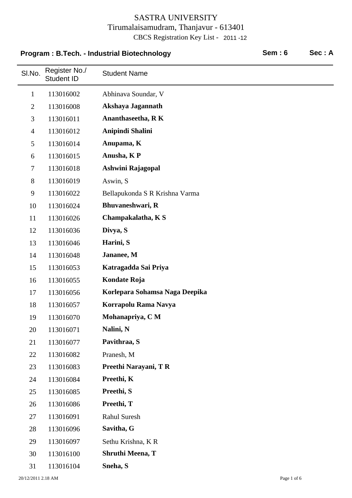# SI.No. Register No./ Student Name<br>Student ID **Program : B.Tech. - Industrial Biotechnology Sem : 6 Sec : A**

|                | Sluuent ID |                                |
|----------------|------------|--------------------------------|
| $\mathbf{1}$   | 113016002  | Abhinava Soundar, V            |
| $\overline{2}$ | 113016008  | Akshaya Jagannath              |
| 3              | 113016011  | Ananthaseetha, RK              |
| $\overline{4}$ | 113016012  | Anipindi Shalini               |
| 5              | 113016014  | Anupama, K                     |
| 6              | 113016015  | Anusha, KP                     |
| $\tau$         | 113016018  | Ashwini Rajagopal              |
| $8\,$          | 113016019  | Aswin, S                       |
| 9              | 113016022  | Bellapukonda S R Krishna Varma |
| 10             | 113016024  | Bhuvaneshwari, R               |
| 11             | 113016026  | Champakalatha, KS              |
| 12             | 113016036  | Divya, S                       |
| 13             | 113016046  | Harini, S                      |
| 14             | 113016048  | Jananee, M                     |
| 15             | 113016053  | Katragadda Sai Priya           |
| 16             | 113016055  | Kondate Roja                   |
| 17             | 113016056  | Korlepara Sohamsa Naga Deepika |
| 18             | 113016057  | Korrapolu Rama Navya           |
| 19             | 113016070  | Mohanapriya, CM                |
| 20             | 113016071  | Nalini, N                      |
| 21             | 113016077  | Pavithraa, S                   |
| 22             | 113016082  | Pranesh, M                     |
| 23             | 113016083  | Preethi Narayani, TR           |
| 24             | 113016084  | Preethi, K                     |
| 25             | 113016085  | Preethi, S                     |
| 26             | 113016086  | Preethi, T                     |
| 27             | 113016091  | Rahul Suresh                   |
| 28             | 113016096  | Savitha, G                     |
| 29             | 113016097  | Sethu Krishna, KR              |
| 30             | 113016100  | <b>Shruthi Meena, T</b>        |
| 31             | 113016104  | Sneha, S                       |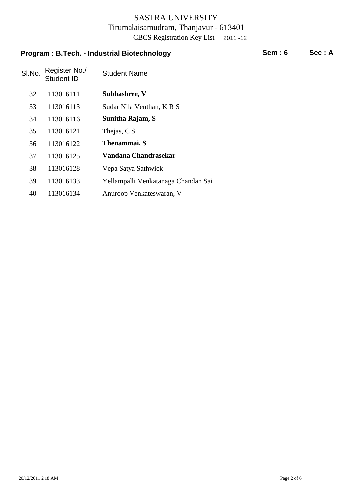#### **Program : B.Tech. - Industrial Biotechnology Sem : 6 Sec : A**

| SI.No. | Register No./<br>Student ID | <b>Student Name</b>                 |
|--------|-----------------------------|-------------------------------------|
| 32     | 113016111                   | Subhashree, V                       |
| 33     | 113016113                   | Sudar Nila Venthan, KRS             |
| 34     | 113016116                   | Sunitha Rajam, S                    |
| 35     | 113016121                   | Thejas, C S                         |
| 36     | 113016122                   | Thenammai, S                        |
| 37     | 113016125                   | Vandana Chandrasekar                |
| 38     | 113016128                   | Vepa Satya Sathwick                 |
| 39     | 113016133                   | Yellampalli Venkatanaga Chandan Sai |
| 40     | 113016134                   | Anuroop Venkateswaran, V            |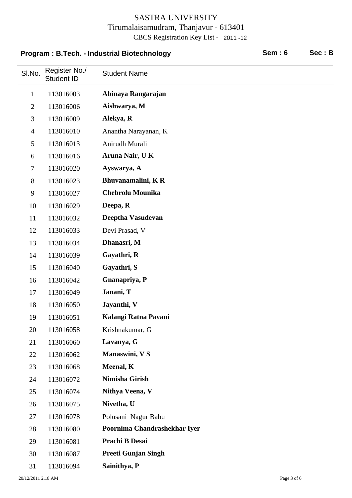#### Program : B.Tech. - Industrial Biotechnology **Sem : 6** Sec : B

 $\overline{\phantom{a}}$ 

| SI.No.         | Register No./<br><b>Student ID</b> | <b>Student Name</b>          |
|----------------|------------------------------------|------------------------------|
| $\mathbf{1}$   | 113016003                          | Abinaya Rangarajan           |
| $\overline{2}$ | 113016006                          | Aishwarya, M                 |
| 3              | 113016009                          | Alekya, R                    |
| $\overline{4}$ | 113016010                          | Anantha Narayanan, K         |
| 5              | 113016013                          | Anirudh Murali               |
| 6              | 113016016                          | Aruna Nair, UK               |
| $\tau$         | 113016020                          | Ayswarya, A                  |
| 8              | 113016023                          | Bhuvanamalini, KR            |
| 9              | 113016027                          | <b>Chebrolu Mounika</b>      |
| 10             | 113016029                          | Deepa, R                     |
| 11             | 113016032                          | Deeptha Vasudevan            |
| 12             | 113016033                          | Devi Prasad, V               |
| 13             | 113016034                          | Dhanasri, M                  |
| 14             | 113016039                          | Gayathri, R                  |
| 15             | 113016040                          | Gayathri, S                  |
| 16             | 113016042                          | Gnanapriya, P                |
| 17             | 113016049                          | Janani, T                    |
| 18             | 113016050                          | Jayanthi, V                  |
| 19             | 113016051                          | Kalangi Ratna Pavani         |
| 20             | 113016058                          | Krishnakumar, G              |
| 21             | 113016060                          | Lavanya, G                   |
| 22             | 113016062                          | Manaswini, V S               |
| 23             | 113016068                          | Meenal, K                    |
| 24             | 113016072                          | Nimisha Girish               |
| 25             | 113016074                          | Nithya Veena, V              |
| 26             | 113016075                          | Nivetha, U                   |
| 27             | 113016078                          | Polusani Nagur Babu          |
| 28             | 113016080                          | Poornima Chandrashekhar Iyer |
| 29             | 113016081                          | Prachi B Desai               |
| 30             | 113016087                          | <b>Preeti Gunjan Singh</b>   |
| 31             | 113016094                          | Sainithya, P                 |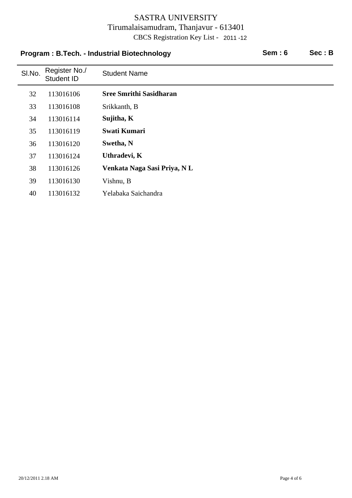#### Program : B.Tech. - Industrial Biotechnology **Sem : 6** Sec : B

| SI.No. | Register No./<br>Student ID | <b>Student Name</b>            |
|--------|-----------------------------|--------------------------------|
| 32     | 113016106                   | <b>Sree Smrithi Sasidharan</b> |
| 33     | 113016108                   | Srikkanth, B                   |
| 34     | 113016114                   | Sujitha, K                     |
| 35     | 113016119                   | <b>Swati Kumari</b>            |
| 36     | 113016120                   | Swetha, N                      |
| 37     | 113016124                   | Uthradevi, K                   |
| 38     | 113016126                   | Venkata Naga Sasi Priya, NL    |
| 39     | 113016130                   | Vishnu, B                      |
| 40     | 113016132                   | Yelabaka Saichandra            |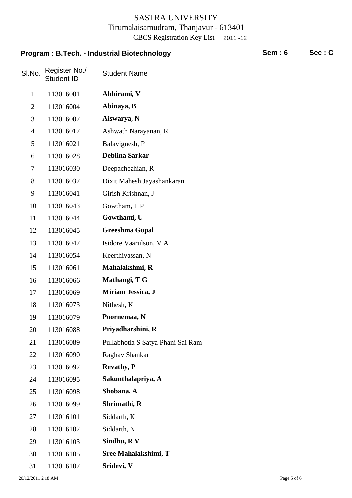### **Program : B.Tech. - Industrial Biotechnology entity of Sem : 6 Sec : C**

| SI.No.         | Register No./<br><b>Student ID</b> | <b>Student Name</b>               |
|----------------|------------------------------------|-----------------------------------|
| $\mathbf{1}$   | 113016001                          | Abbirami, V                       |
| $\overline{2}$ | 113016004                          | Abinaya, B                        |
| 3              | 113016007                          | Aiswarya, N                       |
| $\overline{4}$ | 113016017                          | Ashwath Narayanan, R              |
| 5              | 113016021                          | Balavignesh, P                    |
| 6              | 113016028                          | <b>Deblina Sarkar</b>             |
| $\tau$         | 113016030                          | Deepachezhian, R                  |
| $8\,$          | 113016037                          | Dixit Mahesh Jayashankaran        |
| 9              | 113016041                          | Girish Krishnan, J                |
| 10             | 113016043                          | Gowtham, TP                       |
| 11             | 113016044                          | Gowthami, U                       |
| 12             | 113016045                          | <b>Greeshma Gopal</b>             |
| 13             | 113016047                          | Isidore Vaarulson, V A            |
| 14             | 113016054                          | Keerthivassan, N                  |
| 15             | 113016061                          | Mahalakshmi, R                    |
| 16             | 113016066                          | Mathangi, T G                     |
| 17             | 113016069                          | Miriam Jessica, J                 |
| 18             | 113016073                          | Nithesh, K                        |
| 19             | 113016079                          | Poornemaa, N                      |
| 20             | 113016088                          | Priyadharshini, R                 |
| 21             | 113016089                          | Pullabhotla S Satya Phani Sai Ram |
| 22             | 113016090                          | Raghav Shankar                    |
| 23             | 113016092                          | <b>Revathy, P</b>                 |
| 24             | 113016095                          | Sakunthalapriya, A                |
| 25             | 113016098                          | Shobana, A                        |
| 26             | 113016099                          | Shrimathi, R                      |
| 27             | 113016101                          | Siddarth, K                       |
| 28             | 113016102                          | Siddarth, N                       |
| 29             | 113016103                          | Sindhu, R V                       |
| 30             | 113016105                          | Sree Mahalakshimi, T              |
| 31             | 113016107                          | Sridevi, V                        |